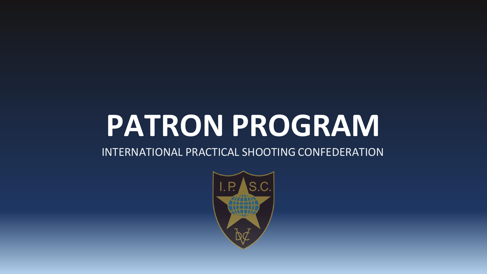# **PATRON PROGRAM**

#### INTERNATIONAL PRACTICAL SHOOTING CONFEDERATION

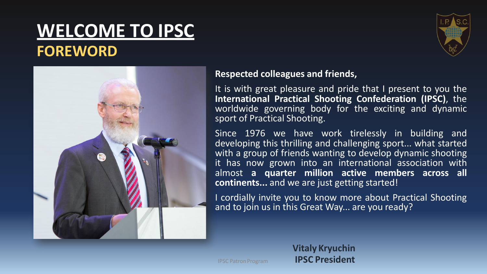### **WELCOME TO IPSC FOREWORD**





#### **Respected colleagues and friends,**

It is with great pleasure and pride that I present to you the **International Practical Shooting Confederation (IPSC)**, the worldwide governing body for the exciting and dynamic sport of Practical Shooting.

Since 1976 we have work tirelessly in building and developing this thrilling and challenging sport... what started with a group of friends wanting to develop dynamic shooting it has now grown into an international association with almost **a quarter million active members across all continents...** and we are just getting started!

I cordially invite you to know more about Practical Shooting and to join us in this Great Way... are you ready?

**Vitaly Kryuchin**  IPSC PatronProgram **IPSC President**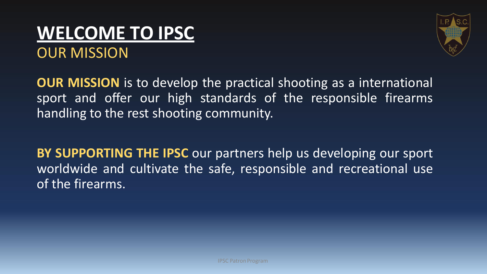



**OUR MISSION** is to develop the practical shooting as a international sport and offer our high standards of the responsible firearms handling to the rest shooting community.

**BY SUPPORTING THE IPSC** our partners help us developing our sport worldwide and cultivate the safe, responsible and recreational use of the firearms.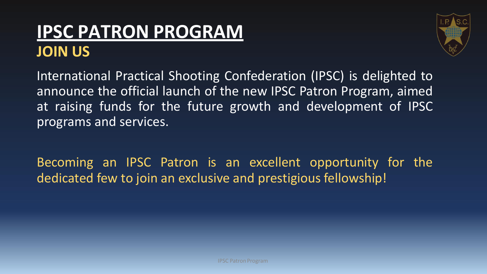### **IPSC PATRON PROGRAM JOIN US**



International Practical Shooting Confederation (IPSC) is delighted to announce the official launch of the new IPSC Patron Program, aimed at raising funds for the future growth and development of IPSC programs and services.

Becoming an IPSC Patron is an excellent opportunity for the dedicated few to join an exclusive and prestigious fellowship!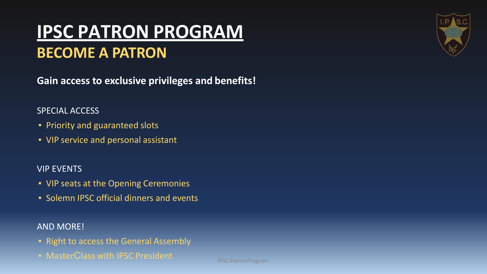### **IPSC PATRON PROGRAM BECOME A PATRON**

**Gain access to exclusive privileges and benefits!**

#### SPECIAL ACCESS

- Priority and guaranteed slots
- **.** VIP service and personal assistant

#### VIP EVENTS

- VIP seats at the Opening Ceremonies
- Solemn IPSC official dinners and events

#### AND MORE!

- **Example 2 Fight to access the General Assembly**
- MasterClass with IPSC President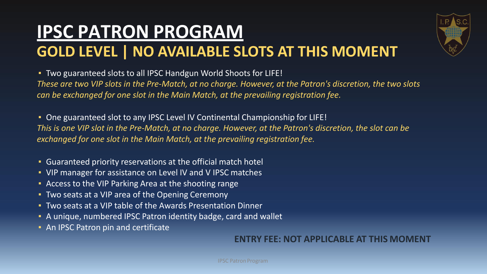### **IPSC PATRON PROGRAM GOLD LEVEL | NO AVAILABLE SLOTS AT THIS MOMENT**



▪ Two guaranteed slots to all IPSC Handgun World Shoots for LIFE! *These are two VIP slots in the Pre-Match, at no charge. However, at the Patron's discretion, the two slots can be exchanged for one slot in the Main Match, at the prevailing registration fee.*

▪ One guaranteed slot to any IPSC Level IV Continental Championship for LIFE! *This is one VIP slot in the Pre-Match, at no charge. However, at the Patron's discretion, the slot can be exchanged for one slot in the Main Match, at the prevailing registration fee.*

- Guaranteed priority reservations at the official match hotel
- VIP manager for assistance on Level IV and V IPSC matches
- Access to the VIP Parking Area at the shooting range
- **Two seats at a VIP area of the Opening Ceremony**
- Two seats at a VIP table of the Awards Presentation Dinner
- A unique, numbered IPSC Patron identity badge, card and wallet
- **An IPSC Patron pin and certificate**

#### **ENTRY FEE: NOT APPLICABLE AT THIS MOMENT**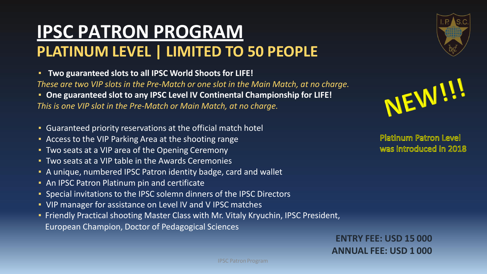### **IPSC PATRON PROGRAM PLATINUM LEVEL | LIMITED TO 50 PEOPLE**

▪ **Two guaranteed slots to all IPSC World Shoots for LIFE!**

*These are two VIP slots in the Pre-Match or one slot in the Main Match, at no charge.*

- **One guaranteed slot to any IPSC Level IV Continental Championship for LIFE!** *This is one VIP slot in the Pre-Match or Main Match, at no charge.*
- Guaranteed priority reservations at the official match hotel
- Access to the VIP Parking Area at the shooting range
- **Two seats at a VIP area of the Opening Ceremony**
- Two seats at a VIP table in the Awards Ceremonies
- A unique, numbered IPSC Patron identity badge, card and wallet
- **An IPSC Patron Platinum pin and certificate**
- Special invitations to the IPSC solemn dinners of the IPSC Directors
- VIP manager for assistance on Level IV and V IPSC matches
- **Friendly Practical shooting Master Class with Mr. Vitaly Kryuchin, IPSC President,** European Champion, Doctor of Pedagogical Sciences





**Platinum Patron Level** was introduced in 2018

**IPSC Patron Program** 

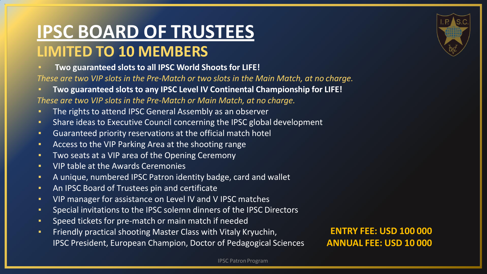#### **IPSC BOARD OF TRUSTEES LIMITED TO 10 MEMBERS**

▪ **Two guaranteed slots to all IPSC World Shoots for LIFE!**

*These are two VIP slots in the Pre-Match or two slots in the Main Match, at no charge.*

▪ **Two guaranteed slots to any IPSC Level IV Continental Championship for LIFE!**

*These are two VIP slots in the Pre-Match or Main Match, at no charge.*

- The rights to attend IPSC General Assembly as an observer
- Share ideas to Executive Council concerning the IPSC global development
- Guaranteed priority reservations at the official match hotel
- Access to the VIP Parking Area at the shooting range
- Two seats at a VIP area of the Opening Ceremony
- VIP table at the Awards Ceremonies
- A unique, numbered IPSC Patron identity badge, card and wallet
- **EXECUTE:** An IPSC Board of Trustees pin and certificate
- VIP manager for assistance on Level IV and V IPSC matches
- Special invitations to the IPSC solemn dinners of the IPSC Directors
- **EXP** Speed tickets for pre-match or main match if needed
- **EXECTED:** Friendly practical shooting Master Class with Vitaly Kryuchin, IPSC President, European Champion, Doctor of Pedagogical Sciences

**ENTRY FEE: USD 100 000 ANNUAL FEE: USD 10 000**

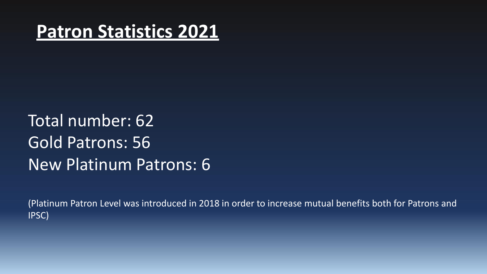#### **Patron Statistics 2021**

### Total number: 62 Gold Patrons: 56 New Platinum Patrons: 6

(Platinum Patron Level was introduced in 2018 in order to increase mutual benefits both for Patrons and IPSC)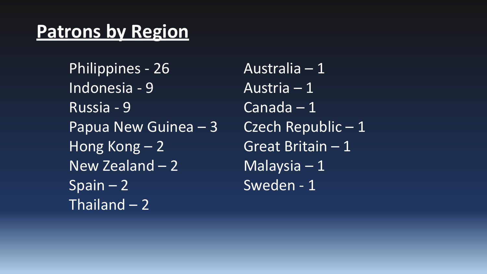## **Patrons by Region**

Philippines - 26 Indonesia - 9 Russia - 9 Papua New Guinea – 3 Hong Kong – 2 New Zealand – 2  $S$ pain – 2 Thailand – 2

Australia – 1 Austria – 1 Canada – 1 Czech Republic – 1 Great Britain – 1 Malaysia – 1 Sweden - 1